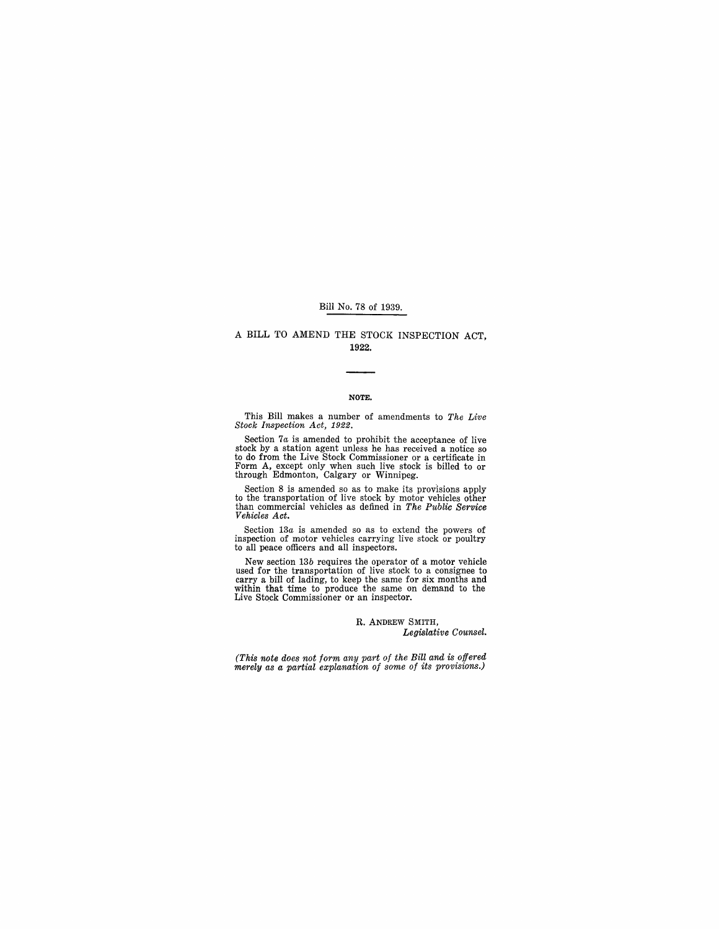#### Bill No. 78 of 1939.

#### A BILL TO AMEND THE STOCK INSPECTION ACT, 1922.

#### NOTE.

This Bill makes a number of amendments to *The Live Stock Inspection Act, 1922.* 

Section 7*a* is amended to prohibit the acceptance of live stock by a station agent unless he has received a notice so to do from the Live Stock Commissioner or a certificate in Form A, except only when such live stock is billed to or through Edmonton, Calgary or Winnipeg.

Section 8 is amended so as to make its provisions apply<br>to the transportation of live stock by motor vehicles other<br>than commercial vehicles as defined in *The Public Service Vehicles Act.* 

Section *13a* is amended so as to extend the powers of inspection of motor vehicles carrying live stock or poultry to all peace officers and all inspectors.

New section *13b* requires the operator of a motor vehicle used for the transportation of live stock to a consignee to carry a bill of lading, to keep the same for six months and within that time to produce the same on demand to the Live Stock Commissioner or an inspector.

> R. ANDREW SMITH, *Legislative Counsel.*

*(This note does not form any part of the Bill and is offered merely as a partial explanation of some of its provisions.)*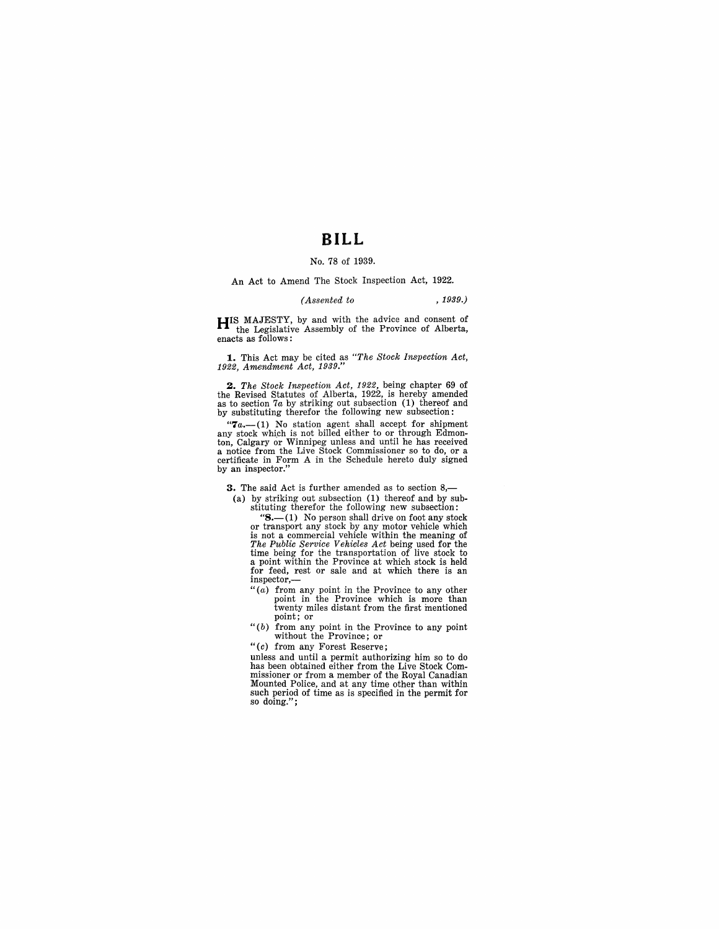## **BILL**

#### No. 78 of 1939.

An Act to Amend The Stock Inspection Act, 1922.

#### *(Assented to* ,1939.)

**HIS MAJESTY**, by and with the advice and consent of the Legislative Assembly of the Province of Alberta, enacts as follows:

**1.** This Act may be cited as *"The Stock Inspection Act, 1922, Amendment Act, 1939."* 

*2. The Stock Inspection Act,* 1922, being chapter 69 of the Revised Statutes of Alberta, 1922, is hereby amended as to section *7a* by striking out subsection (1) thereof and by substituting therefor the following new subsection:

" $7a$ .—(1) No station agent shall accept for shipment<br>any stock which is not billed either to or through Edmon-<br>ton, Calgary or Winnipeg unless and until he has received<br>a notice from the Live Stock Commissioner so to do,

**3.** The said Act is further amended as to section 8,-

(a) by striking out subsection (1) thereof and by substituting therefor the following new subsection:<br>" $S$ —(1) No person shall drive on foot any stock

" $S$ .—(1) No person shall drive on foot any stock<br>or transport any stock by any motor vehicle which<br>is not a commercial vehicle within the meaning of<br> $The Pubble Service Vehicle with the meaning of the time being used for the transformation of live stock to a point within the Province at which stock is held.$ for feed, rest or sale and at which there is an inspector,—

- " (a) from any point in the Province to any other point in the Province which is more than twenty miles distant from the first mentioned point; or
- " $(b)$  from any point in the Province to any point without the Province; or

"(c) from any Forest Reserve;

unless and until a permit authorizing him so to do has been obtained either from the Live Stock Commissioner or from a member of the Royal Canadian Mounted Police, and at any time other than within such period of time as is specified in the permit for so doing.";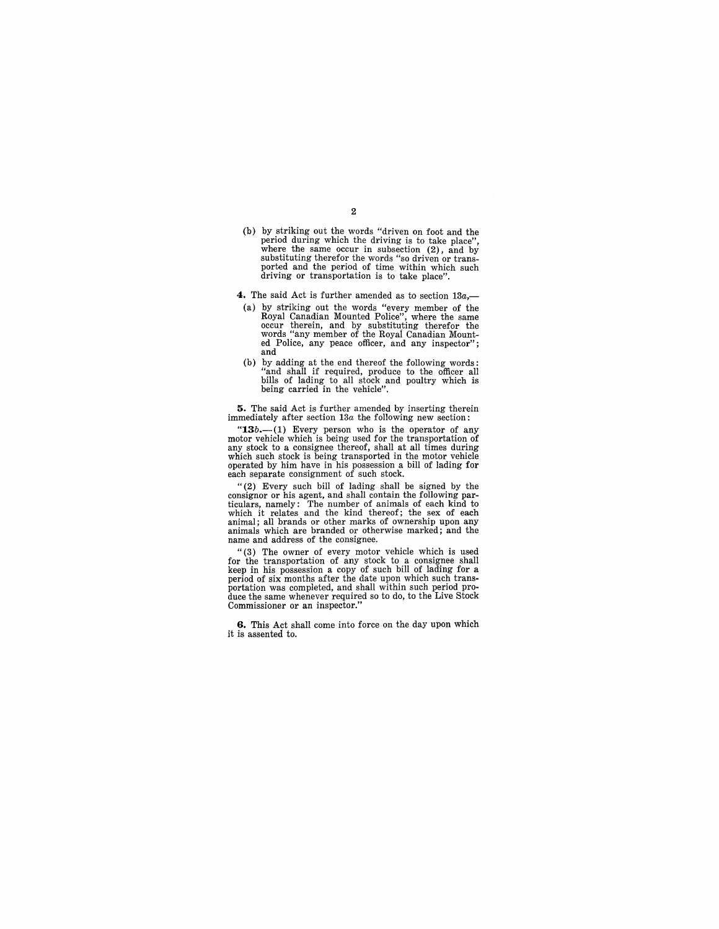(b) by striking out the words "driven on foot and the period during which the driving is to take place", where the same occur in subsection (2), and by substituting therefor the words "so driven or transported and the period of time within which such driving or transportation is to take place".

2

- **4.** The said Act is further amended as to section *13a,-*
- (a) by striking out the words "every member of the Royal Canadian Mounted Police", where the same occur therein, and by substituting therefor the words "any member of the Royal Canadian Mounted Police, any peace officer, and any inspector"; and
- (b) by adding at the end thereof the following words: "and shall if required, produce to the officer all bills of lading to all stock and poultry which is being carried in the vehicle".

**5.** The said Act is further amended by inserting therein immediately after section *13a* the following new section:

" $13b$ .—(1) Every person who is the operator of any motor vehicle which is being used for the transportation of any stock to a consignee thereof, shall at all times during which such stock is being transported in the moto

"(2) Every such bill of lading shall be signed by the consignor or his agent, and shall contain the following particulars, namely: The number of animals of each kind to<br>which it relates and the kind thereof; the sex of each<br>animal; all brands or other marks of ownership upon any<br>animals which are branded or otherwise marked; and the<br>

"(3) The owner of every motor vehicle which is used for the transportation of any stock to a consignee shall keep in his possession a copy of such bill of lading for a period of six months after the date upon which such transportation was completed, and shall within such period produce the same whenever required so to do, to the Live Stock Commissioner or an inspector."

**6.** This Act shall come into force on the day upon which it is assented to.